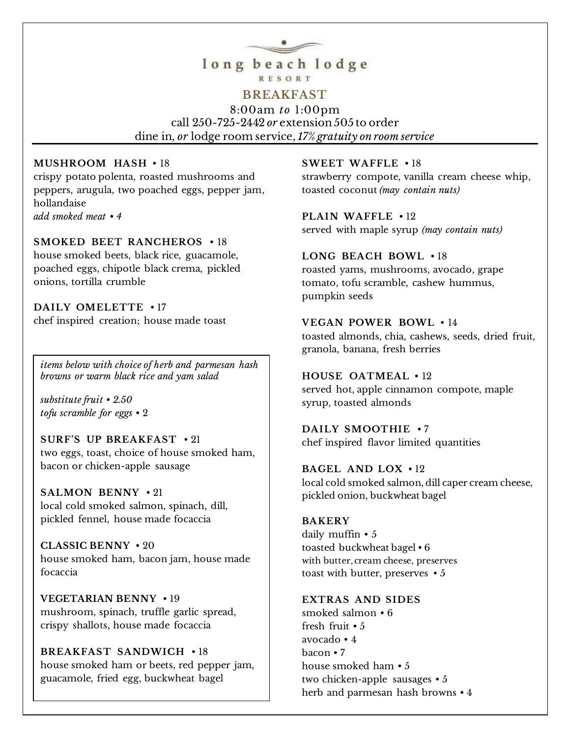

# **RESORT**

## **BREAKFAST**

8:00am *to* 1:00pm call 250-725-2442 *or* extension 505 to order dine in, *or* lodge room service, *17% gratuity on room service*

#### **MUSHROOM HASH** • 18

crispy potato polenta, roasted mushrooms and peppers, arugula, two poached eggs, pepper jam, hollandaise *add smoked meat • 4*

#### **SMOKED BEET RANCHEROS** • 18

house smoked beets, black rice, guacamole, poached eggs, chipotle black crema, pickled onions, tortilla crumble

**DAILY OMELETTE** • 17 chef inspired creation; house made toast

*items below with choice of herb and parmesan hash browns or warm black rice and yam salad*

*substitute fruit • 2.50 tofu scramble for eggs* • 2

**SURF'S UP BREAKFAST** • 21 two eggs, toast, choice of house smoked ham, bacon or chicken-apple sausage

**SALMON BENNY** • 21 local cold smoked salmon, spinach, dill, pickled fennel, house made focaccia

**CLASSIC BENNY** • 20 house smoked ham, bacon jam, house made focaccia

**VEGETARIAN BENNY** • 19 mushroom, spinach, truffle garlic spread, crispy shallots, house made focaccia

**BREAKFAST SANDWICH** • 18 house smoked ham or beets, red pepper jam, guacamole, fried egg, buckwheat bagel

#### **SWEET WAFFLE** • 18

strawberry compote, vanilla cream cheese whip, toasted coconut *(may contain nuts)*

**PLAIN WAFFLE** • 12 served with maple syrup *(may contain nuts)*

**LONG BEACH BOWL** • 18 roasted yams, mushrooms, avocado, grape tomato, tofu scramble, cashew hummus, pumpkin seeds

**VEGAN POWER BOWL** • 14 toasted almonds, chia, cashews, seeds, dried fruit,

granola, banana, fresh berries

**HOUSE OATMEAL** • 12 served hot, apple cinnamon compote, maple syrup, toasted almonds

**DAILY SMOOTHIE** • 7 chef inspired flavor limited quantities

**BAGEL AND LOX** • 12 local cold smoked salmon, dill caper cream cheese, pickled onion, buckwheat bagel

#### **BAKERY**

daily muffin • 5 toasted buckwheat bagel • 6 with butter, cream cheese, preserves toast with butter, preserves • 5

**EXTRAS AND SIDES**

smoked salmon • 6 fresh fruit • 5 avocado • 4 bacon • 7 house smoked ham • 5 two chicken-apple sausages • 5 herb and parmesan hash browns • 4